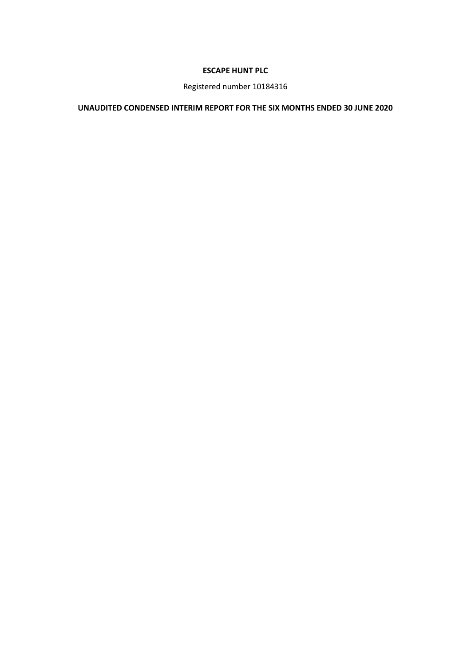# **ESCAPE HUNT PLC**

Registered number 10184316

# **UNAUDITED CONDENSED INTERIM REPORT FOR THE SIX MONTHS ENDED 30 JUNE 2020**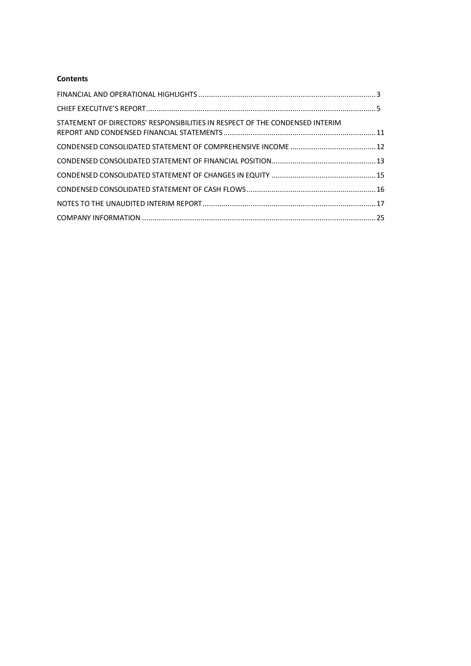# **Contents**

| STATEMENT OF DIRECTORS' RESPONSIBILITIES IN RESPECT OF THE CONDENSED INTERIM |  |
|------------------------------------------------------------------------------|--|
|                                                                              |  |
|                                                                              |  |
|                                                                              |  |
|                                                                              |  |
|                                                                              |  |
|                                                                              |  |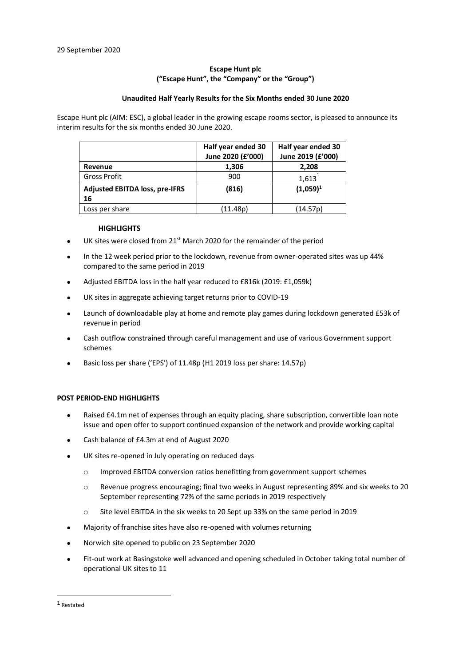# **Escape Hunt plc ("Escape Hunt", the "Company" or the "Group")**

#### **Unaudited Half Yearly Results for the Six Months ended 30 June 2020**

Escape Hunt plc (AIM: ESC), a global leader in the growing escape rooms sector, is pleased to announce its interim results for the six months ended 30 June 2020.

|                                       | Half year ended 30<br>June 2020 (£'000) | Half year ended 30<br>June 2019 (£'000) |
|---------------------------------------|-----------------------------------------|-----------------------------------------|
| Revenue                               | 1,306                                   | 2,208                                   |
| <b>Gross Profit</b>                   | 900                                     | 1,613                                   |
| <b>Adjusted EBITDA loss, pre-IFRS</b> | (816)                                   | $(1,059)^1$                             |
| 16                                    |                                         |                                         |
| Loss per share                        | (11.48p)                                | (14.57p)                                |

#### <span id="page-2-0"></span> **HIGHLIGHTS**

- UK sites were closed from 21<sup>st</sup> March 2020 for the remainder of the period
- In the 12 week period prior to the lockdown, revenue from owner-operated sites was up 44% compared to the same period in 2019
- Adjusted EBITDA loss in the half year reduced to £816k (2019: £1,059k)
- UK sites in aggregate achieving target returns prior to COVID-19
- Launch of downloadable play at home and remote play games during lockdown generated £53k of revenue in period
- Cash outflow constrained through careful management and use of various Government support schemes
- Basic loss per share ('EPS') of 11.48p (H1 2019 loss per share: 14.57p)

## **POST PERIOD-END HIGHLIGHTS**

- Raised £4.1m net of expenses through an equity placing, share subscription, convertible loan note issue and open offer to support continued expansion of the network and provide working capital
- Cash balance of £4.3m at end of August 2020
- UK sites re-opened in July operating on reduced days
	- o Improved EBITDA conversion ratios benefitting from government support schemes
	- o Revenue progress encouraging; final two weeks in August representing 89% and six weeks to 20 September representing 72% of the same periods in 2019 respectively
	- o Site level EBITDA in the six weeks to 20 Sept up 33% on the same period in 2019
- Majority of franchise sites have also re-opened with volumes returning
- Norwich site opened to public on 23 September 2020
- Fit-out work at Basingstoke well advanced and opening scheduled in October taking total number of operational UK sites to 11

<sup>1</sup> Restated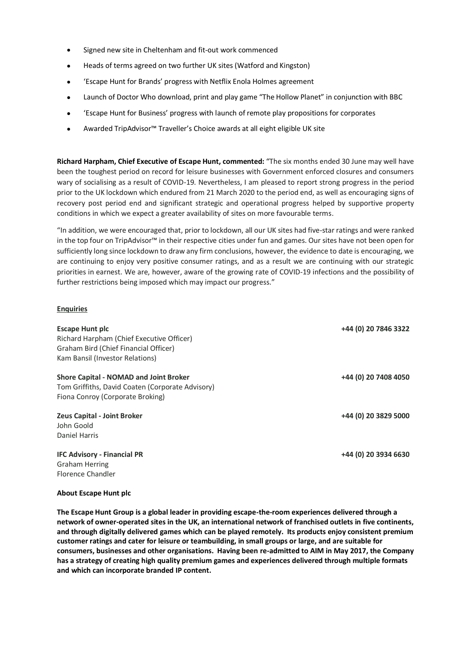- Signed new site in Cheltenham and fit-out work commenced
- Heads of terms agreed on two further UK sites (Watford and Kingston)
- 'Escape Hunt for Brands' progress with Netflix Enola Holmes agreement
- Launch of Doctor Who download, print and play game "The Hollow Planet" in conjunction with BBC
- 'Escape Hunt for Business' progress with launch of remote play propositions for corporates
- Awarded TripAdvisor™ Traveller's Choice awards at all eight eligible UK site

**Richard Harpham, Chief Executive of Escape Hunt, commented:** "The six months ended 30 June may well have been the toughest period on record for leisure businesses with Government enforced closures and consumers wary of socialising as a result of COVID-19. Nevertheless, I am pleased to report strong progress in the period prior to the UK lockdown which endured from 21 March 2020 to the period end, as well as encouraging signs of recovery post period end and significant strategic and operational progress helped by supportive property conditions in which we expect a greater availability of sites on more favourable terms.

"In addition, we were encouraged that, prior to lockdown, all our UK sites had five-star ratings and were ranked in the top four on TripAdvisor™ in their respective cities under fun and games. Our sites have not been open for sufficiently long since lockdown to draw any firm conclusions, however, the evidence to date is encouraging, we are continuing to enjoy very positive consumer ratings, and as a result we are continuing with our strategic priorities in earnest. We are, however, aware of the growing rate of COVID-19 infections and the possibility of further restrictions being imposed which may impact our progress."

### **Enquiries**

| <b>Escape Hunt plc</b><br>Richard Harpham (Chief Executive Officer)<br>Graham Bird (Chief Financial Officer)<br>Kam Bansil (Investor Relations) | +44 (0) 20 7846 3322 |
|-------------------------------------------------------------------------------------------------------------------------------------------------|----------------------|
| Shore Capital - NOMAD and Joint Broker<br>Tom Griffiths, David Coaten (Corporate Advisory)<br>Fiona Conroy (Corporate Broking)                  | +44 (0) 20 7408 4050 |
| <b>Zeus Capital - Joint Broker</b><br>John Goold<br>Daniel Harris                                                                               | +44 (0) 20 3829 5000 |
| <b>IFC Advisory - Financial PR</b><br><b>Graham Herring</b><br>Elorence Chandler                                                                | +44 (0) 20 3934 6630 |

#### **About Escape Hunt plc**

**The Escape Hunt Group is a global leader in providing escape-the-room experiences delivered through a network of owner-operated sites in the UK, an international network of franchised outlets in five continents, and through digitally delivered games which can be played remotely. Its products enjoy consistent premium customer ratings and cater for leisure or teambuilding, in small groups or large, and are suitable for consumers, businesses and other organisations. Having been re-admitted to AIM in May 2017, the Company has a strategy of creating high quality premium games and experiences delivered through multiple formats and which can incorporate branded IP content.**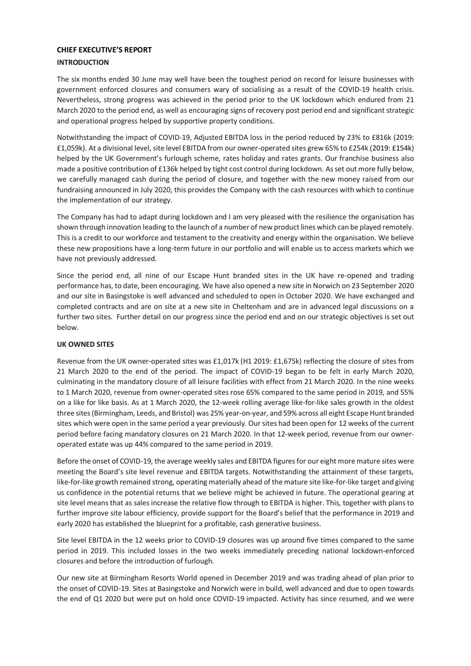# <span id="page-4-0"></span>**CHIEF EXECUTIVE'S REPORT INTRODUCTION**

The six months ended 30 June may well have been the toughest period on record for leisure businesses with government enforced closures and consumers wary of socialising as a result of the COVID-19 health crisis. Nevertheless, strong progress was achieved in the period prior to the UK lockdown which endured from 21 March 2020 to the period end, as well as encouraging signs of recovery post period end and significant strategic and operational progress helped by supportive property conditions.

Notwithstanding the impact of COVID-19, Adjusted EBITDA loss in the period reduced by 23% to £816k (2019: £1,059k). At a divisional level, site level EBITDA from our owner-operated sites grew 65% to £254k (2019: £154k) helped by the UK Government's furlough scheme, rates holiday and rates grants. Our franchise business also made a positive contribution of £136k helped by tight cost control during lockdown. As set out more fully below, we carefully managed cash during the period of closure, and together with the new money raised from our fundraising announced in July 2020, this provides the Company with the cash resources with which to continue the implementation of our strategy.

The Company has had to adapt during lockdown and I am very pleased with the resilience the organisation has shown through innovation leading to the launch of a number of new product lines which can be played remotely. This is a credit to our workforce and testament to the creativity and energy within the organisation. We believe these new propositions have a long-term future in our portfolio and will enable us to access markets which we have not previously addressed.

Since the period end, all nine of our Escape Hunt branded sites in the UK have re-opened and trading performance has, to date, been encouraging. We have also opened a new site in Norwich on 23 September 2020 and our site in Basingstoke is well advanced and scheduled to open in October 2020. We have exchanged and completed contracts and are on site at a new site in Cheltenham and are in advanced legal discussions on a further two sites. Further detail on our progress since the period end and on our strategic objectives is set out below.

# **UK OWNED SITES**

Revenue from the UK owner-operated sites was £1,017k (H1 2019: £1,675k) reflecting the closure of sites from 21 March 2020 to the end of the period. The impact of COVID-19 began to be felt in early March 2020, culminating in the mandatory closure of all leisure facilities with effect from 21 March 2020. In the nine weeks to 1 March 2020, revenue from owner-operated sites rose 65% compared to the same period in 2019, and 55% on a like for like basis. As at 1 March 2020, the 12-week rolling average like-for-like sales growth in the oldest three sites (Birmingham, Leeds, and Bristol) was 25% year-on-year, and 59% across all eight Escape Hunt branded sites which were open in the same period a year previously. Our sites had been open for 12 weeks of the current period before facing mandatory closures on 21 March 2020. In that 12-week period, revenue from our owneroperated estate was up 44% compared to the same period in 2019.

Before the onset of COVID-19, the average weekly sales and EBITDA figures for our eight more mature sites were meeting the Board's site level revenue and EBITDA targets. Notwithstanding the attainment of these targets, like-for-like growth remained strong, operating materially ahead of the mature site like-for-like target and giving us confidence in the potential returns that we believe might be achieved in future. The operational gearing at site level means that as sales increase the relative flow through to EBITDA is higher. This, together with plans to further improve site labour efficiency, provide support for the Board's belief that the performance in 2019 and early 2020 has established the blueprint for a profitable, cash generative business.

Site level EBITDA in the 12 weeks prior to COVID-19 closures was up around five times compared to the same period in 2019. This included losses in the two weeks immediately preceding national lockdown-enforced closures and before the introduction of furlough.

Our new site at Birmingham Resorts World opened in December 2019 and was trading ahead of plan prior to the onset of COVID-19. Sites at Basingstoke and Norwich were in build, well advanced and due to open towards the end of Q1 2020 but were put on hold once COVID-19 impacted. Activity has since resumed, and we were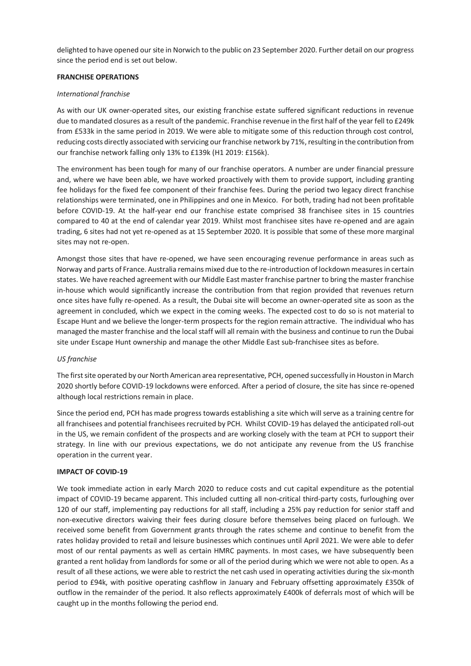delighted to have opened our site in Norwich to the public on 23 September 2020. Further detail on our progress since the period end is set out below.

# **FRANCHISE OPERATIONS**

# *International franchise*

As with our UK owner-operated sites, our existing franchise estate suffered significant reductions in revenue due to mandated closures as a result of the pandemic. Franchise revenue in the first half of the year fell to £249k from £533k in the same period in 2019. We were able to mitigate some of this reduction through cost control, reducing costs directly associated with servicing our franchise network by 71%, resulting in the contribution from our franchise network falling only 13% to £139k (H1 2019: £156k).

The environment has been tough for many of our franchise operators. A number are under financial pressure and, where we have been able, we have worked proactively with them to provide support, including granting fee holidays for the fixed fee component of their franchise fees. During the period two legacy direct franchise relationships were terminated, one in Philippines and one in Mexico. For both, trading had not been profitable before COVID-19. At the half-year end our franchise estate comprised 38 franchisee sites in 15 countries compared to 40 at the end of calendar year 2019. Whilst most franchisee sites have re-opened and are again trading, 6 sites had not yet re-opened as at 15 September 2020. It is possible that some of these more marginal sites may not re-open.

Amongst those sites that have re-opened, we have seen encouraging revenue performance in areas such as Norway and parts of France. Australia remains mixed due to the re-introduction of lockdown measures in certain states. We have reached agreement with our Middle East master franchise partner to bring the master franchise in-house which would significantly increase the contribution from that region provided that revenues return once sites have fully re-opened. As a result, the Dubai site will become an owner-operated site as soon as the agreement in concluded, which we expect in the coming weeks. The expected cost to do so is not material to Escape Hunt and we believe the longer-term prospects for the region remain attractive. The individual who has managed the master franchise and the local staff will all remain with the business and continue to run the Dubai site under Escape Hunt ownership and manage the other Middle East sub-franchisee sites as before.

## *US franchise*

The first site operated by our North American area representative, PCH, opened successfully in Houston in March 2020 shortly before COVID-19 lockdowns were enforced. After a period of closure, the site has since re-opened although local restrictions remain in place.

Since the period end, PCH has made progress towards establishing a site which will serve as a training centre for all franchisees and potential franchisees recruited by PCH. Whilst COVID-19 has delayed the anticipated roll-out in the US, we remain confident of the prospects and are working closely with the team at PCH to support their strategy. In line with our previous expectations, we do not anticipate any revenue from the US franchise operation in the current year.

## **IMPACT OF COVID-19**

We took immediate action in early March 2020 to reduce costs and cut capital expenditure as the potential impact of COVID-19 became apparent. This included cutting all non-critical third-party costs, furloughing over 120 of our staff, implementing pay reductions for all staff, including a 25% pay reduction for senior staff and non-executive directors waiving their fees during closure before themselves being placed on furlough. We received some benefit from Government grants through the rates scheme and continue to benefit from the rates holiday provided to retail and leisure businesses which continues until April 2021. We were able to defer most of our rental payments as well as certain HMRC payments. In most cases, we have subsequently been granted a rent holiday from landlords for some or all of the period during which we were not able to open. As a result of all these actions, we were able to restrict the net cash used in operating activities during the six-month period to £94k, with positive operating cashflow in January and February offsetting approximately £350k of outflow in the remainder of the period. It also reflects approximately £400k of deferrals most of which will be caught up in the months following the period end.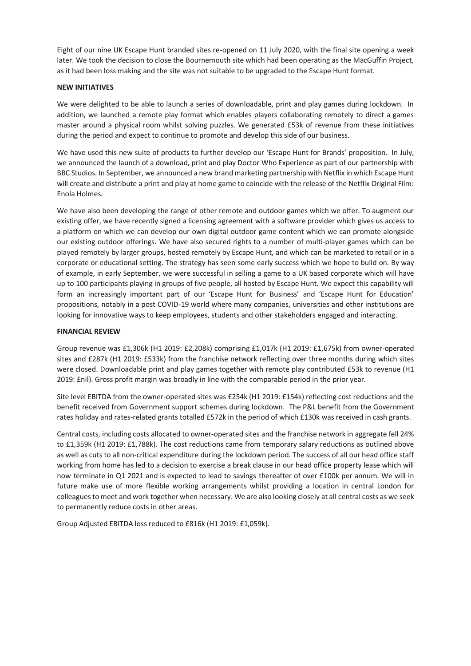Eight of our nine UK Escape Hunt branded sites re-opened on 11 July 2020, with the final site opening a week later. We took the decision to close the Bournemouth site which had been operating as the MacGuffin Project, as it had been loss making and the site was not suitable to be upgraded to the Escape Hunt format.

## **NEW INITIATIVES**

We were delighted to be able to launch a series of downloadable, print and play games during lockdown. In addition, we launched a remote play format which enables players collaborating remotely to direct a games master around a physical room whilst solving puzzles. We generated £53k of revenue from these initiatives during the period and expect to continue to promote and develop this side of our business.

We have used this new suite of products to further develop our 'Escape Hunt for Brands' proposition. In July, we announced the launch of a download, print and play Doctor Who Experience as part of our partnership with BBC Studios. In September, we announced a new brand marketing partnership with Netflix in which Escape Hunt will create and distribute a print and play at home game to coincide with the release of the Netflix Original Film: Enola Holmes.

We have also been developing the range of other remote and outdoor games which we offer. To augment our existing offer, we have recently signed a licensing agreement with a software provider which gives us access to a platform on which we can develop our own digital outdoor game content which we can promote alongside our existing outdoor offerings. We have also secured rights to a number of multi-player games which can be played remotely by larger groups, hosted remotely by Escape Hunt, and which can be marketed to retail or in a corporate or educational setting. The strategy has seen some early success which we hope to build on. By way of example, in early September, we were successful in selling a game to a UK based corporate which will have up to 100 participants playing in groups of five people, all hosted by Escape Hunt. We expect this capability will form an increasingly important part of our 'Escape Hunt for Business' and 'Escape Hunt for Education' propositions, notably in a post COVID-19 world where many companies, universities and other institutions are looking for innovative ways to keep employees, students and other stakeholders engaged and interacting.

## **FINANCIAL REVIEW**

Group revenue was £1,306k (H1 2019: £2,208k) comprising £1,017k (H1 2019: £1,675k) from owner-operated sites and £287k (H1 2019: £533k) from the franchise network reflecting over three months during which sites were closed. Downloadable print and play games together with remote play contributed £53k to revenue (H1 2019: £nil). Gross profit margin was broadly in line with the comparable period in the prior year.

Site level EBITDA from the owner-operated sites was £254k (H1 2019: £154k) reflecting cost reductions and the benefit received from Government support schemes during lockdown. The P&L benefit from the Government rates holiday and rates-related grants totalled £572k in the period of which £130k was received in cash grants.

Central costs, including costs allocated to owner-operated sites and the franchise network in aggregate fell 24% to £1,359k (H1 2019: £1,788k). The cost reductions came from temporary salary reductions as outlined above as well as cuts to all non-critical expenditure during the lockdown period. The success of all our head office staff working from home has led to a decision to exercise a break clause in our head office property lease which will now terminate in Q1 2021 and is expected to lead to savings thereafter of over £100k per annum. We will in future make use of more flexible working arrangements whilst providing a location in central London for colleagues to meet and work together when necessary. We are also looking closely at all central costs as we seek to permanently reduce costs in other areas.

Group Adjusted EBITDA loss reduced to £816k (H1 2019: £1,059k).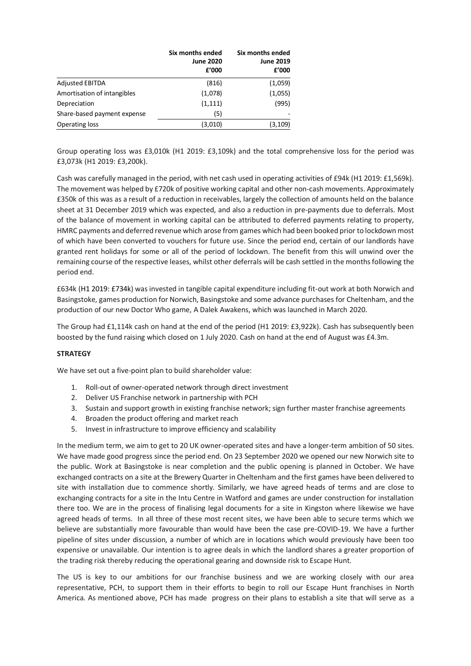|                             | Six months ended<br><b>June 2020</b><br>f'000 | Six months ended<br><b>June 2019</b><br>£'000 |
|-----------------------------|-----------------------------------------------|-----------------------------------------------|
| <b>Adjusted EBITDA</b>      | (816)                                         | (1,059)                                       |
| Amortisation of intangibles | (1,078)                                       | (1,055)                                       |
| Depreciation                | (1, 111)                                      | (995)                                         |
| Share-based payment expense | (5)                                           |                                               |
| <b>Operating loss</b>       | (3,010)                                       | (3,109)                                       |

Group operating loss was £3,010k (H1 2019: £3,109k) and the total comprehensive loss for the period was £3,073k (H1 2019: £3,200k).

Cash was carefully managed in the period, with net cash used in operating activities of £94k (H1 2019: £1,569k). The movement was helped by £720k of positive working capital and other non-cash movements. Approximately £350k of this was as a result of a reduction in receivables, largely the collection of amounts held on the balance sheet at 31 December 2019 which was expected, and also a reduction in pre-payments due to deferrals. Most of the balance of movement in working capital can be attributed to deferred payments relating to property, HMRC payments and deferred revenue which arose from games which had been booked prior to lockdown most of which have been converted to vouchers for future use. Since the period end, certain of our landlords have granted rent holidays for some or all of the period of lockdown. The benefit from this will unwind over the remaining course of the respective leases, whilst other deferrals will be cash settled in the months following the period end.

£634k (H1 2019: £734k) was invested in tangible capital expenditure including fit-out work at both Norwich and Basingstoke, games production for Norwich, Basingstoke and some advance purchases for Cheltenham, and the production of our new Doctor Who game, A Dalek Awakens, which was launched in March 2020.

The Group had £1,114k cash on hand at the end of the period (H1 2019: £3,922k). Cash has subsequently been boosted by the fund raising which closed on 1 July 2020. Cash on hand at the end of August was £4.3m.

## **STRATEGY**

We have set out a five-point plan to build shareholder value:

- 1. Roll-out of owner-operated network through direct investment
- 2. Deliver US Franchise network in partnership with PCH
- 3. Sustain and support growth in existing franchise network; sign further master franchise agreements
- 4. Broaden the product offering and market reach
- 5. Invest in infrastructure to improve efficiency and scalability

In the medium term, we aim to get to 20 UK owner-operated sites and have a longer-term ambition of 50 sites. We have made good progress since the period end. On 23 September 2020 we opened our new Norwich site to the public. Work at Basingstoke is near completion and the public opening is planned in October. We have exchanged contracts on a site at the Brewery Quarter in Cheltenham and the first games have been delivered to site with installation due to commence shortly. Similarly, we have agreed heads of terms and are close to exchanging contracts for a site in the Intu Centre in Watford and games are under construction for installation there too. We are in the process of finalising legal documents for a site in Kingston where likewise we have agreed heads of terms. In all three of these most recent sites, we have been able to secure terms which we believe are substantially more favourable than would have been the case pre-COVID-19. We have a further pipeline of sites under discussion, a number of which are in locations which would previously have been too expensive or unavailable. Our intention is to agree deals in which the landlord shares a greater proportion of the trading risk thereby reducing the operational gearing and downside risk to Escape Hunt.

The US is key to our ambitions for our franchise business and we are working closely with our area representative, PCH, to support them in their efforts to begin to roll our Escape Hunt franchises in North America. As mentioned above, PCH has made progress on their plans to establish a site that will serve as a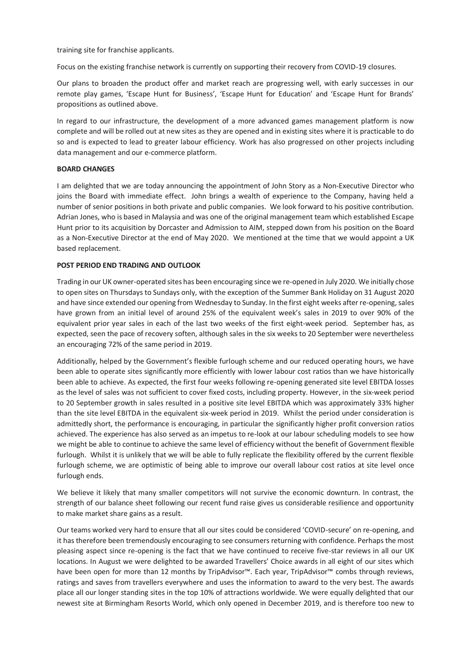training site for franchise applicants.

Focus on the existing franchise network is currently on supporting their recovery from COVID-19 closures.

Our plans to broaden the product offer and market reach are progressing well, with early successes in our remote play games, 'Escape Hunt for Business', 'Escape Hunt for Education' and 'Escape Hunt for Brands' propositions as outlined above.

In regard to our infrastructure, the development of a more advanced games management platform is now complete and will be rolled out at new sites as they are opened and in existing sites where it is practicable to do so and is expected to lead to greater labour efficiency. Work has also progressed on other projects including data management and our e-commerce platform.

### **BOARD CHANGES**

I am delighted that we are today announcing the appointment of John Story as a Non-Executive Director who joins the Board with immediate effect. John brings a wealth of experience to the Company, having held a number of senior positions in both private and public companies. We look forward to his positive contribution. Adrian Jones, who is based in Malaysia and was one of the original management team which established Escape Hunt prior to its acquisition by Dorcaster and Admission to AIM, stepped down from his position on the Board as a Non-Executive Director at the end of May 2020. We mentioned at the time that we would appoint a UK based replacement.

#### **POST PERIOD END TRADING AND OUTLOOK**

Trading in our UK owner-operated sites has been encouraging since we re-opened in July 2020. We initially chose to open sites on Thursdays to Sundays only, with the exception of the Summer Bank Holiday on 31 August 2020 and have since extended our opening from Wednesday to Sunday. In the first eight weeks after re-opening, sales have grown from an initial level of around 25% of the equivalent week's sales in 2019 to over 90% of the equivalent prior year sales in each of the last two weeks of the first eight-week period. September has, as expected, seen the pace of recovery soften, although sales in the six weeks to 20 September were nevertheless an encouraging 72% of the same period in 2019.

Additionally, helped by the Government's flexible furlough scheme and our reduced operating hours, we have been able to operate sites significantly more efficiently with lower labour cost ratios than we have historically been able to achieve. As expected, the first four weeks following re-opening generated site level EBITDA losses as the level of sales was not sufficient to cover fixed costs, including property. However, in the six-week period to 20 September growth in sales resulted in a positive site level EBITDA which was approximately 33% higher than the site level EBITDA in the equivalent six-week period in 2019. Whilst the period under consideration is admittedly short, the performance is encouraging, in particular the significantly higher profit conversion ratios achieved. The experience has also served as an impetus to re-look at our labour scheduling models to see how we might be able to continue to achieve the same level of efficiency without the benefit of Government flexible furlough. Whilst it is unlikely that we will be able to fully replicate the flexibility offered by the current flexible furlough scheme, we are optimistic of being able to improve our overall labour cost ratios at site level once furlough ends.

We believe it likely that many smaller competitors will not survive the economic downturn. In contrast, the strength of our balance sheet following our recent fund raise gives us considerable resilience and opportunity to make market share gains as a result.

Our teams worked very hard to ensure that all our sites could be considered 'COVID-secure' on re-opening, and it has therefore been tremendously encouraging to see consumers returning with confidence. Perhaps the most pleasing aspect since re-opening is the fact that we have continued to receive five-star reviews in all our UK locations. In August we were delighted to be awarded Travellers' Choice awards in all eight of our sites which have been open for more than 12 months by TripAdvisor™. Each year, TripAdvisor™ combs through reviews, ratings and saves from travellers everywhere and uses the information to award to the very best. The awards place all our longer standing sites in the top 10% of attractions worldwide. We were equally delighted that our newest site at Birmingham Resorts World, which only opened in December 2019, and is therefore too new to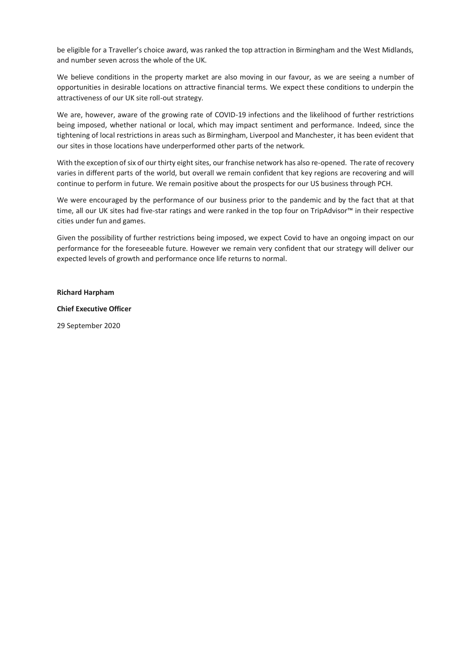be eligible for a Traveller's choice award, was ranked the top attraction in Birmingham and the West Midlands, and number seven across the whole of the UK.

We believe conditions in the property market are also moving in our favour, as we are seeing a number of opportunities in desirable locations on attractive financial terms. We expect these conditions to underpin the attractiveness of our UK site roll-out strategy.

We are, however, aware of the growing rate of COVID-19 infections and the likelihood of further restrictions being imposed, whether national or local, which may impact sentiment and performance. Indeed, since the tightening of local restrictions in areas such as Birmingham, Liverpool and Manchester, it has been evident that our sites in those locations have underperformed other parts of the network.

With the exception of six of our thirty eight sites, our franchise network has also re-opened. The rate of recovery varies in different parts of the world, but overall we remain confident that key regions are recovering and will continue to perform in future. We remain positive about the prospects for our US business through PCH.

We were encouraged by the performance of our business prior to the pandemic and by the fact that at that time, all our UK sites had five-star ratings and were ranked in the top four on TripAdvisor™ in their respective cities under fun and games.

Given the possibility of further restrictions being imposed, we expect Covid to have an ongoing impact on our performance for the foreseeable future. However we remain very confident that our strategy will deliver our expected levels of growth and performance once life returns to normal.

#### **Richard Harpham**

#### **Chief Executive Officer**

29 September 2020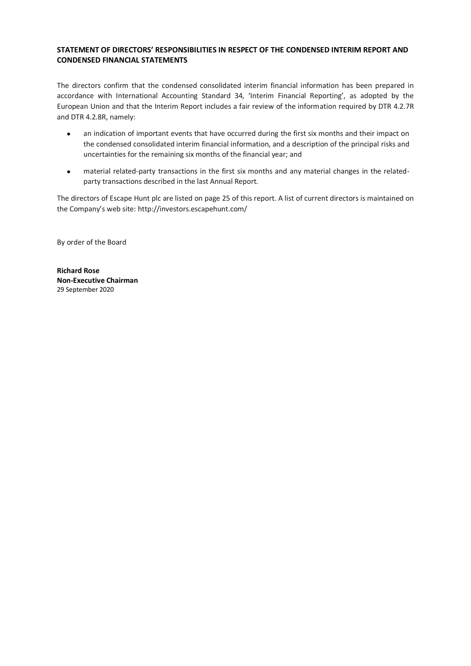# <span id="page-10-0"></span>**STATEMENT OF DIRECTORS' RESPONSIBILITIES IN RESPECT OF THE CONDENSED INTERIM REPORT AND CONDENSED FINANCIAL STATEMENTS**

The directors confirm that the condensed consolidated interim financial information has been prepared in accordance with International Accounting Standard 34, 'Interim Financial Reporting', as adopted by the European Union and that the Interim Report includes a fair review of the information required by DTR 4.2.7R and DTR 4.2.8R, namely:

- an indication of important events that have occurred during the first six months and their impact on the condensed consolidated interim financial information, and a description of the principal risks and uncertainties for the remaining six months of the financial year; and
- material related-party transactions in the first six months and any material changes in the relatedparty transactions described in the last Annual Report.

The directors of Escape Hunt plc are listed on page 25 of this report. A list of current directors is maintained on the Company's web site: <http://investors.escapehunt.com/>

By order of the Board

**Richard Rose Non-Executive Chairman** 29 September 2020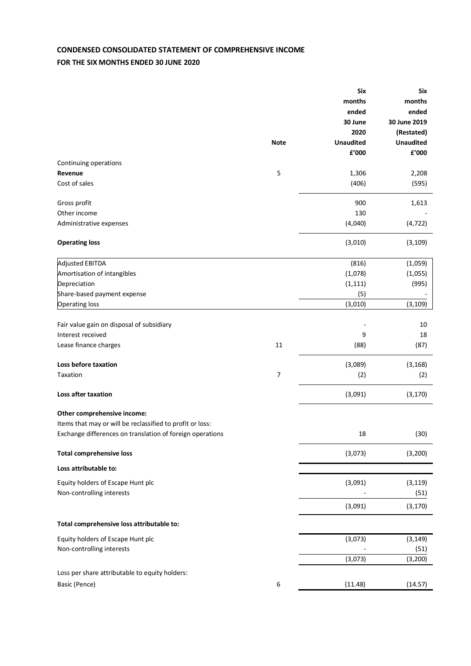# <span id="page-11-0"></span>**CONDENSED CONSOLIDATED STATEMENT OF COMPREHENSIVE INCOME**

# **FOR THE SIX MONTHS ENDED 30 JUNE 2020**

|                                                           |                  | <b>Six</b>       | <b>Six</b>            |
|-----------------------------------------------------------|------------------|------------------|-----------------------|
|                                                           |                  | months           | months                |
|                                                           |                  | ended            | ended<br>30 June 2019 |
|                                                           |                  | 30 June<br>2020  | (Restated)            |
|                                                           | <b>Note</b>      | <b>Unaudited</b> | <b>Unaudited</b>      |
|                                                           |                  | £'000            | £'000                 |
| Continuing operations                                     |                  |                  |                       |
| Revenue                                                   | 5                | 1,306            | 2,208                 |
| Cost of sales                                             |                  | (406)            | (595)                 |
|                                                           |                  |                  |                       |
| Gross profit                                              |                  | 900              | 1,613                 |
| Other income                                              |                  | 130              |                       |
| Administrative expenses                                   |                  | (4,040)          | (4, 722)              |
|                                                           |                  |                  |                       |
| <b>Operating loss</b>                                     |                  | (3,010)          | (3, 109)              |
| <b>Adjusted EBITDA</b>                                    |                  | (816)            | (1,059)               |
| Amortisation of intangibles                               |                  | (1,078)          | (1,055)               |
| Depreciation                                              |                  | (1, 111)         | (995)                 |
| Share-based payment expense                               |                  | (5)              |                       |
| <b>Operating loss</b>                                     |                  | (3,010)          | (3, 109)              |
|                                                           |                  |                  |                       |
| Fair value gain on disposal of subsidiary                 |                  |                  | 10                    |
| Interest received                                         |                  | 9                | 18                    |
| Lease finance charges                                     | 11               | (88)             | (87)                  |
| Loss before taxation                                      |                  | (3,089)          | (3, 168)              |
| Taxation                                                  | 7                | (2)              | (2)                   |
|                                                           |                  |                  |                       |
| <b>Loss after taxation</b>                                |                  | (3,091)          | (3, 170)              |
| Other comprehensive income:                               |                  |                  |                       |
| Items that may or will be reclassified to profit or loss: |                  |                  |                       |
| Exchange differences on translation of foreign operations |                  | 18               | (30)                  |
| <b>Total comprehensive loss</b>                           |                  | (3,073)          | (3, 200)              |
| Loss attributable to:                                     |                  |                  |                       |
|                                                           |                  |                  |                       |
| Equity holders of Escape Hunt plc                         |                  | (3,091)          | (3, 119)              |
| Non-controlling interests                                 |                  |                  | (51)                  |
|                                                           |                  | (3,091)          | (3, 170)              |
| Total comprehensive loss attributable to:                 |                  |                  |                       |
| Equity holders of Escape Hunt plc                         |                  | (3,073)          | (3, 149)              |
| Non-controlling interests                                 |                  |                  | (51)                  |
|                                                           |                  | (3,073)          | (3, 200)              |
|                                                           |                  |                  |                       |
| Loss per share attributable to equity holders:            |                  |                  |                       |
| Basic (Pence)                                             | $\boldsymbol{6}$ | (11.48)          | (14.57)               |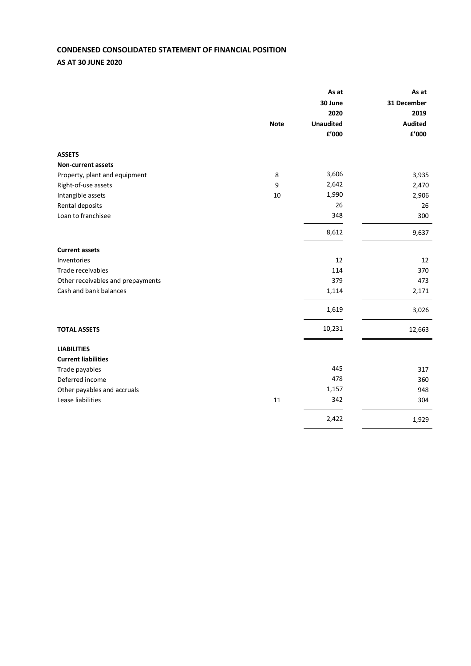# <span id="page-12-0"></span>**CONDENSED CONSOLIDATED STATEMENT OF FINANCIAL POSITION**

# **AS AT 30 JUNE 2020**

|                                   |             | As at<br>30 June | As at<br>31 December   |
|-----------------------------------|-------------|------------------|------------------------|
|                                   |             | 2020             | 2019                   |
|                                   | <b>Note</b> | <b>Unaudited</b> | <b>Audited</b>         |
|                                   |             | £'000            | ${\bf f}^{\prime}$ 000 |
| <b>ASSETS</b>                     |             |                  |                        |
| <b>Non-current assets</b>         |             |                  |                        |
| Property, plant and equipment     | 8           | 3,606            | 3,935                  |
| Right-of-use assets               | 9           | 2,642            | 2,470                  |
| Intangible assets                 | 10          | 1,990            | 2,906                  |
| Rental deposits                   |             | 26               | 26                     |
| Loan to franchisee                |             | 348              | 300                    |
|                                   |             | 8,612            | 9,637                  |
| <b>Current assets</b>             |             |                  |                        |
| Inventories                       |             | 12               | 12                     |
| Trade receivables                 |             | 114              | 370                    |
| Other receivables and prepayments |             | 379              | 473                    |
| Cash and bank balances            |             | 1,114            | 2,171                  |
|                                   |             | 1,619            | 3,026                  |
| <b>TOTAL ASSETS</b>               |             | 10,231           | 12,663                 |
| <b>LIABILITIES</b>                |             |                  |                        |
| <b>Current liabilities</b>        |             |                  |                        |
| Trade payables                    |             | 445              | 317                    |
| Deferred income                   |             | 478              | 360                    |
| Other payables and accruals       |             | 1,157            | 948                    |
| Lease liabilities                 | 11          | 342              | 304                    |
|                                   |             | 2,422            | 1,929                  |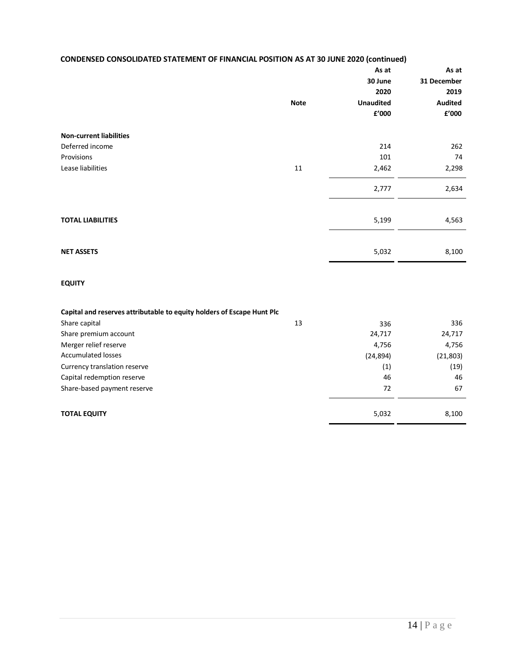| <b>CONDENSED CONSOLIDATED STATEMENT OF FINANCIAL POSITION AS AT 30 JUNE 2020 (continued)</b> |  |
|----------------------------------------------------------------------------------------------|--|
|----------------------------------------------------------------------------------------------|--|

|                                | <b>Note</b> | As at<br>30 June<br>2020<br><b>Unaudited</b><br>${\bf f}^{\prime}$ 000 | As at<br>31 December<br>2019<br><b>Audited</b><br>${\bf f}^{\prime}$ 000 |
|--------------------------------|-------------|------------------------------------------------------------------------|--------------------------------------------------------------------------|
|                                |             |                                                                        |                                                                          |
| <b>Non-current liabilities</b> |             |                                                                        |                                                                          |
| Deferred income                |             | 214                                                                    | 262                                                                      |
| Provisions                     |             | 101                                                                    | 74                                                                       |
| Lease liabilities              | 11          | 2,462                                                                  | 2,298                                                                    |
|                                |             | 2,777                                                                  | 2,634                                                                    |
|                                |             |                                                                        |                                                                          |
| <b>TOTAL LIABILITIES</b>       |             | 5,199                                                                  | 4,563                                                                    |
|                                |             |                                                                        |                                                                          |
| <b>NET ASSETS</b>              |             | 5,032                                                                  | 8,100                                                                    |

# **EQUITY**

| Capital and reserves attributable to equity holders of Escape Hunt Plc |    |                   |          |
|------------------------------------------------------------------------|----|-------------------|----------|
| Share capital                                                          | 13 | 336               | 336      |
| Share premium account                                                  |    | 24,717            | 24,717   |
| Merger relief reserve                                                  |    | 4,756             | 4,756    |
| <b>Accumulated losses</b>                                              |    | (24, 894)         | (21,803) |
| Currency translation reserve                                           |    | $\left( 1\right)$ | (19)     |
| Capital redemption reserve                                             |    | 46                | 46       |
| Share-based payment reserve                                            |    | 72                | 67       |
|                                                                        |    |                   |          |
| <b>TOTAL EQUITY</b>                                                    |    | 5,032             | 8,100    |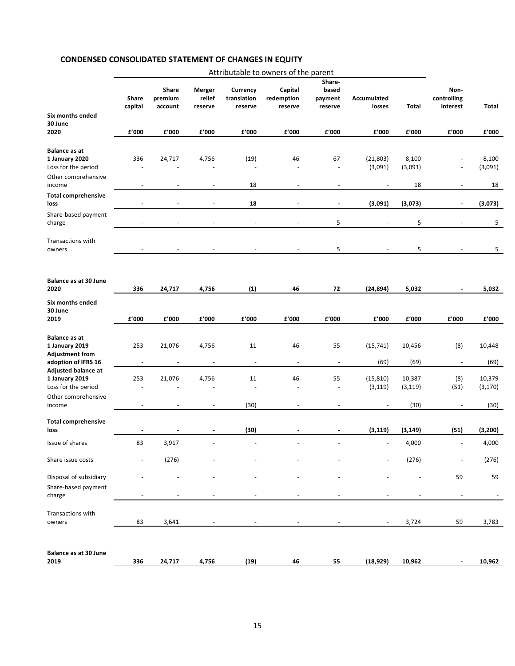# **CONDENSED CONSOLIDATED STATEMENT OF CHANGES IN EQUITY**

<span id="page-14-0"></span>

|                                                                                         | Attributable to owners of the parent |                             |                             |                                    |                                  |                                       |                              |                    |                                 |                    |
|-----------------------------------------------------------------------------------------|--------------------------------------|-----------------------------|-----------------------------|------------------------------------|----------------------------------|---------------------------------------|------------------------------|--------------------|---------------------------------|--------------------|
|                                                                                         | Share<br>capital                     | Share<br>premium<br>account | Merger<br>relief<br>reserve | Currency<br>translation<br>reserve | Capital<br>redemption<br>reserve | Share-<br>based<br>payment<br>reserve | <b>Accumulated</b><br>losses | <b>Total</b>       | Non-<br>controlling<br>interest | Total              |
| Six months ended<br>30 June<br>2020                                                     | £'000                                | £'000                       | £'000                       | £'000                              | £'000                            | £'000                                 | ${\tt f}'000$                | £'000              | £'000                           | £'000              |
| <b>Balance as at</b><br>1 January 2020<br>Loss for the period                           | 336<br>$\sim$                        | 24,717                      | 4,756                       | (19)<br>$\sim$                     | 46<br>$\overline{\phantom{a}}$   | 67<br>÷,                              | (21, 803)<br>(3,091)         | 8,100<br>(3,091)   |                                 | 8,100<br>(3,091)   |
| Other comprehensive<br>income                                                           |                                      | L,                          |                             | 18                                 |                                  | ÷,                                    |                              | 18                 |                                 | 18                 |
| <b>Total comprehensive</b><br>loss                                                      |                                      |                             |                             | 18                                 |                                  | $\blacksquare$                        | (3,091)                      | (3,073)            | ä,                              | (3,073)            |
| Share-based payment<br>charge                                                           |                                      |                             |                             | $\sim$                             |                                  | 5                                     |                              | 5                  |                                 | 5                  |
| Transactions with<br>owners                                                             |                                      |                             |                             |                                    |                                  | 5                                     |                              | 5                  |                                 | 5                  |
| Balance as at 30 June<br>2020                                                           | 336                                  | 24,717                      | 4,756                       | (1)                                | 46                               | 72                                    | (24, 894)                    | 5,032              |                                 | 5,032              |
| Six months ended<br>30 June<br>2019                                                     | £'000                                | £'000                       | £'000                       | £'000                              | £'000                            | £'000                                 | £'000                        | £'000              | £'000                           | f'000              |
| <b>Balance as at</b><br>1 January 2019<br><b>Adjustment from</b><br>adoption of IFRS 16 | 253<br>$\overline{a}$                | 21,076                      | 4,756                       | 11<br>$\blacksquare$               | 46                               | 55<br>$\blacksquare$                  | (15, 741)<br>(69)            | 10,456<br>(69)     | (8)<br>$\overline{\phantom{a}}$ | 10,448<br>(69)     |
| Adjusted balance at<br>1 January 2019<br>Loss for the period<br>Other comprehensive     | 253<br>L.                            | 21,076                      | 4,756                       | 11<br>$\overline{a}$               | 46                               | 55<br>L,                              | (15, 810)<br>(3, 119)        | 10,387<br>(3, 119) | (8)<br>(51)                     | 10,379<br>(3, 170) |
| income                                                                                  |                                      | $\blacksquare$              | $\overline{\phantom{a}}$    | (30)                               |                                  | $\blacksquare$                        |                              | (30)               |                                 | (30)               |
| <b>Total comprehensive</b><br>loss                                                      |                                      |                             |                             | (30)                               |                                  |                                       | (3, 119)                     | (3, 149)           | (51)                            | (3, 200)           |
| Issue of shares                                                                         | 83                                   | 3,917                       |                             | $\sim$                             |                                  | $\blacksquare$                        |                              | 4,000              | $\blacksquare$                  | 4,000              |
| Share issue costs                                                                       |                                      | (276)                       |                             |                                    |                                  |                                       |                              | (276)              |                                 | (276)              |
| Disposal of subsidiary<br>Share-based payment                                           |                                      |                             |                             |                                    |                                  |                                       |                              |                    | 59                              | 59                 |
| charge                                                                                  |                                      |                             |                             |                                    |                                  |                                       |                              |                    |                                 |                    |
| Transactions with<br>owners                                                             | 83                                   | 3,641                       |                             |                                    |                                  |                                       |                              | 3,724              | 59                              | 3,783              |
| <b>Balance as at 30 June</b><br>2019                                                    | 336                                  | 24,717                      | 4,756                       | (19)                               | 46                               | 55                                    | (18, 929)                    | 10,962             |                                 | 10,962             |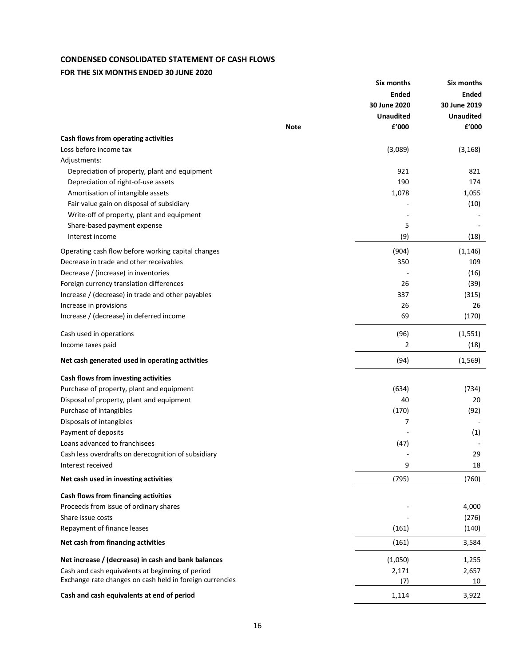# **CONDENSED CONSOLIDATED STATEMENT OF CASH FLOWS**

# **FOR THE SIX MONTHS ENDED 30 JUNE 2020**

<span id="page-15-0"></span>

|                                                          |             | Six months       | Six months       |
|----------------------------------------------------------|-------------|------------------|------------------|
|                                                          |             | <b>Ended</b>     | <b>Ended</b>     |
|                                                          |             | 30 June 2020     | 30 June 2019     |
|                                                          |             | <b>Unaudited</b> | <b>Unaudited</b> |
|                                                          | <b>Note</b> | £'000            | f'000            |
| Cash flows from operating activities                     |             |                  |                  |
| Loss before income tax                                   |             | (3,089)          | (3, 168)         |
| Adjustments:                                             |             |                  |                  |
| Depreciation of property, plant and equipment            |             | 921              | 821              |
| Depreciation of right-of-use assets                      |             | 190              | 174              |
| Amortisation of intangible assets                        |             | 1,078            | 1,055            |
| Fair value gain on disposal of subsidiary                |             |                  | (10)             |
| Write-off of property, plant and equipment               |             |                  |                  |
| Share-based payment expense                              |             | 5                |                  |
| Interest income                                          |             | (9)              | (18)             |
|                                                          |             |                  |                  |
| Operating cash flow before working capital changes       |             | (904)            | (1, 146)         |
| Decrease in trade and other receivables                  |             | 350              | 109              |
| Decrease / (increase) in inventories                     |             |                  | (16)             |
| Foreign currency translation differences                 |             | 26               | (39)             |
| Increase / (decrease) in trade and other payables        |             | 337              | (315)            |
| Increase in provisions                                   |             | 26               | 26               |
| Increase / (decrease) in deferred income                 |             | 69               | (170)            |
| Cash used in operations                                  |             | (96)             | (1, 551)         |
| Income taxes paid                                        |             | 2                | (18)             |
| Net cash generated used in operating activities          |             | (94)             | (1, 569)         |
| Cash flows from investing activities                     |             |                  |                  |
| Purchase of property, plant and equipment                |             | (634)            | (734)            |
| Disposal of property, plant and equipment                |             | 40               | 20               |
| Purchase of intangibles                                  |             | (170)            | (92)             |
| Disposals of intangibles                                 |             | 7                |                  |
| Payment of deposits                                      |             |                  | (1)              |
| Loans advanced to franchisees                            |             | (47)             |                  |
| Cash less overdrafts on derecognition of subsidiary      |             |                  | 29               |
| Interest received                                        |             | 9                | 18               |
| Net cash used in investing activities                    |             | (795)            | (760)            |
| Cash flows from financing activities                     |             |                  |                  |
| Proceeds from issue of ordinary shares                   |             |                  | 4,000            |
| Share issue costs                                        |             |                  | (276)            |
| Repayment of finance leases                              |             | (161)            | (140)            |
| Net cash from financing activities                       |             | (161)            | 3,584            |
| Net increase / (decrease) in cash and bank balances      |             | (1,050)          | 1,255            |
| Cash and cash equivalents at beginning of period         |             | 2,171            | 2,657            |
| Exchange rate changes on cash held in foreign currencies |             | (7)              | 10               |
| Cash and cash equivalents at end of period               |             | 1,114            | 3,922            |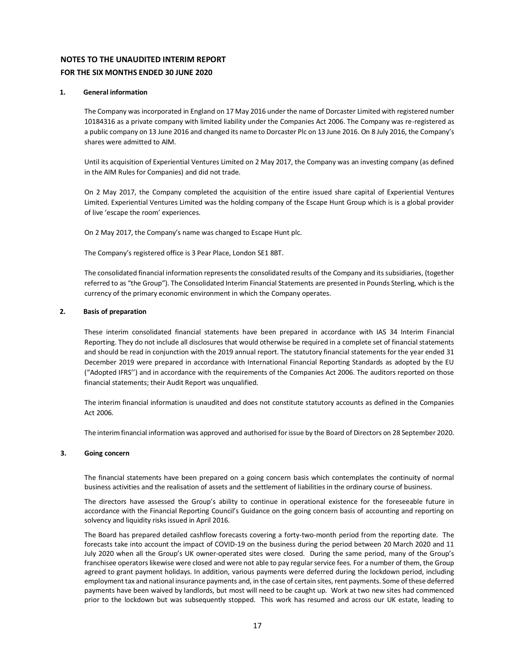# **NOTES TO THE UNAUDITED INTERIM REPORT FOR THE SIX MONTHS ENDED 30 JUNE 2020**

#### <span id="page-16-0"></span>**1. General information**

The Company was incorporated in England on 17 May 2016 under the name of Dorcaster Limited with registered number 10184316 as a private company with limited liability under the Companies Act 2006. The Company was re-registered as a public company on 13 June 2016 and changed its name to Dorcaster Plc on 13 June 2016. On 8 July 2016, the Company's shares were admitted to AIM.

Until its acquisition of Experiential Ventures Limited on 2 May 2017, the Company was an investing company (as defined in the AIM Rules for Companies) and did not trade.

On 2 May 2017, the Company completed the acquisition of the entire issued share capital of Experiential Ventures Limited. Experiential Ventures Limited was the holding company of the Escape Hunt Group which is is a global provider of live 'escape the room' experiences.

On 2 May 2017, the Company's name was changed to Escape Hunt plc.

The Company's registered office is 3 Pear Place, London SE1 8BT.

The consolidated financial information represents the consolidated results of the Company and its subsidiaries, (together referred to as "the Group"). The Consolidated Interim Financial Statements are presented in Pounds Sterling, which is the currency of the primary economic environment in which the Company operates.

#### **2. Basis of preparation**

These interim consolidated financial statements have been prepared in accordance with IAS 34 Interim Financial Reporting. They do not include all disclosures that would otherwise be required in a complete set of financial statements and should be read in conjunction with the 2019 annual report. The statutory financial statements for the year ended 31 December 2019 were prepared in accordance with International Financial Reporting Standards as adopted by the EU ("Adopted IFRS'') and in accordance with the requirements of the Companies Act 2006. The auditors reported on those financial statements; their Audit Report was unqualified.

The interim financial information is unaudited and does not constitute statutory accounts as defined in the Companies Act 2006.

The interim financial information was approved and authorised for issue by the Board of Directors on 28 September 2020.

#### **3. Going concern**

The financial statements have been prepared on a going concern basis which contemplates the continuity of normal business activities and the realisation of assets and the settlement of liabilities in the ordinary course of business.

The directors have assessed the Group's ability to continue in operational existence for the foreseeable future in accordance with the Financial Reporting Council's Guidance on the going concern basis of accounting and reporting on solvency and liquidity risks issued in April 2016.

The Board has prepared detailed cashflow forecasts covering a forty-two-month period from the reporting date. The forecasts take into account the impact of COVID-19 on the business during the period between 20 March 2020 and 11 July 2020 when all the Group's UK owner-operated sites were closed. During the same period, many of the Group's franchisee operators likewise were closed and were not able to pay regular service fees. For a number of them, the Group agreed to grant payment holidays. In addition, various payments were deferred during the lockdown period, including employment tax and national insurance payments and, in the case of certain sites, rent payments. Some of these deferred payments have been waived by landlords, but most will need to be caught up. Work at two new sites had commenced prior to the lockdown but was subsequently stopped. This work has resumed and across our UK estate, leading to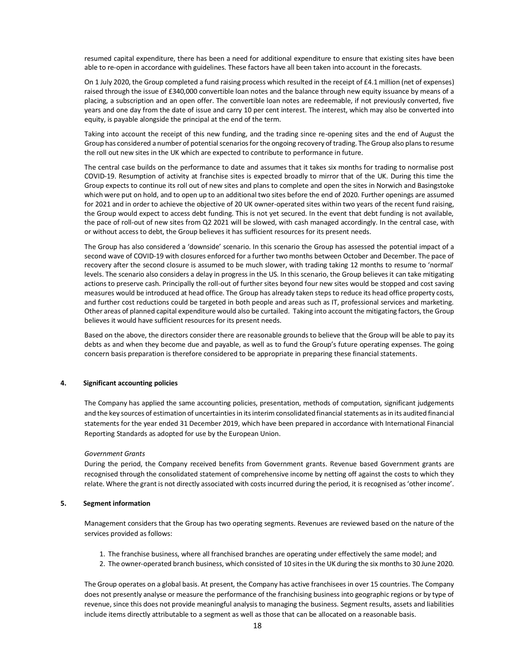resumed capital expenditure, there has been a need for additional expenditure to ensure that existing sites have been able to re-open in accordance with guidelines. These factors have all been taken into account in the forecasts.

On 1 July 2020, the Group completed a fund raising process which resulted in the receipt of £4.1 million (net of expenses) raised through the issue of £340,000 convertible loan notes and the balance through new equity issuance by means of a placing, a subscription and an open offer. The convertible loan notes are redeemable, if not previously converted, five years and one day from the date of issue and carry 10 per cent interest. The interest, which may also be converted into equity, is payable alongside the principal at the end of the term.

Taking into account the receipt of this new funding, and the trading since re-opening sites and the end of August the Group has considered a number of potential scenarios for the ongoing recovery of trading. The Group also plans to resume the roll out new sites in the UK which are expected to contribute to performance in future.

The central case builds on the performance to date and assumes that it takes six months for trading to normalise post COVID-19. Resumption of activity at franchise sites is expected broadly to mirror that of the UK. During this time the Group expects to continue its roll out of new sites and plans to complete and open the sites in Norwich and Basingstoke which were put on hold, and to open up to an additional two sites before the end of 2020. Further openings are assumed for 2021 and in order to achieve the objective of 20 UK owner-operated sites within two years of the recent fund raising, the Group would expect to access debt funding. This is not yet secured. In the event that debt funding is not available, the pace of roll-out of new sites from Q2 2021 will be slowed, with cash managed accordingly. In the central case, with or without access to debt, the Group believes it has sufficient resources for its present needs.

The Group has also considered a 'downside' scenario. In this scenario the Group has assessed the potential impact of a second wave of COVID-19 with closures enforced for a further two months between October and December. The pace of recovery after the second closure is assumed to be much slower, with trading taking 12 months to resume to 'normal' levels. The scenario also considers a delay in progress in the US. In this scenario, the Group believes it can take mitigating actions to preserve cash. Principally the roll-out of further sites beyond four new sites would be stopped and cost saving measures would be introduced at head office. The Group has already taken steps to reduce its head office property costs, and further cost reductions could be targeted in both people and areas such as IT, professional services and marketing. Other areas of planned capital expenditure would also be curtailed. Taking into account the mitigating factors, the Group believes it would have sufficient resources for its present needs.

Based on the above, the directors consider there are reasonable grounds to believe that the Group will be able to pay its debts as and when they become due and payable, as well as to fund the Group's future operating expenses. The going concern basis preparation is therefore considered to be appropriate in preparing these financial statements.

#### **4. Significant accounting policies**

The Company has applied the same accounting policies, presentation, methods of computation, significant judgements and the key sources of estimation of uncertainties in its interim consolidated financial statements as in its audited financial statements for the year ended 31 December 2019, which have been prepared in accordance with International Financial Reporting Standards as adopted for use by the European Union.

#### *Government Grants*

During the period, the Company received benefits from Government grants. Revenue based Government grants are recognised through the consolidated statement of comprehensive income by netting off against the costs to which they relate. Where the grant is not directly associated with costs incurred during the period, it is recognised as 'other income'.

#### **5. Segment information**

Management considers that the Group has two operating segments. Revenues are reviewed based on the nature of the services provided as follows:

- 1. The franchise business, where all franchised branches are operating under effectively the same model; and
- 2. The owner-operated branch business, which consisted of 10 sitesin the UK during the six months to 30 June 2020.

The Group operates on a global basis. At present, the Company has active franchisees in over 15 countries. The Company does not presently analyse or measure the performance of the franchising business into geographic regions or by type of revenue, since this does not provide meaningful analysis to managing the business. Segment results, assets and liabilities include items directly attributable to a segment as well as those that can be allocated on a reasonable basis.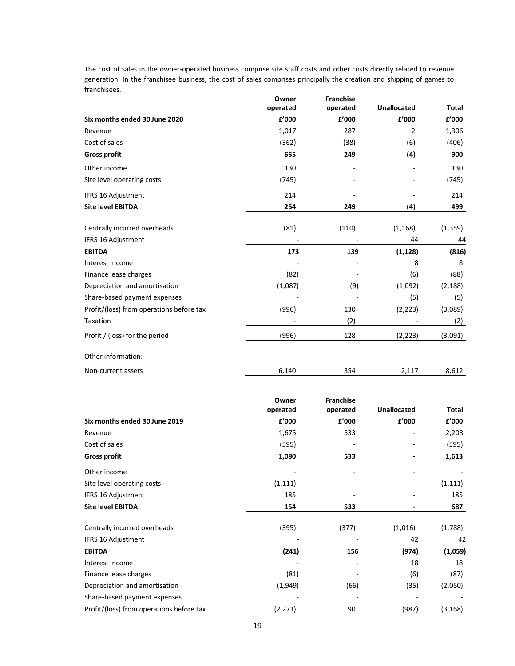The cost of sales in the owner-operated business comprise site staff costs and other costs directly related to revenue generation. In the franchisee business, the cost of sales comprises principally the creation and shipping of games to franchisees.  $\alpha$ **Franchise** 

|                                          | Owner<br>operated | <b>Franchise</b><br>operated | <b>Unallocated</b>       | Total    |
|------------------------------------------|-------------------|------------------------------|--------------------------|----------|
| Six months ended 30 June 2020            | £'000             | £'000                        | £'000                    | £'000    |
| Revenue                                  | 1,017             | 287                          | 2                        | 1,306    |
| Cost of sales                            | (362)             | (38)                         | (6)                      | (406)    |
| <b>Gross profit</b>                      | 655               | 249                          | (4)                      | 900      |
| Other income                             | 130               |                              |                          | 130      |
| Site level operating costs               | (745)             |                              |                          | (745)    |
| IFRS 16 Adjustment                       | 214               |                              |                          | 214      |
| <b>Site level EBITDA</b>                 | 254               | 249                          | (4)                      | 499      |
| Centrally incurred overheads             | (81)              | (110)                        | (1, 168)                 | (1, 359) |
| IFRS 16 Adjustment                       |                   |                              | 44                       | 44       |
| <b>EBITDA</b>                            | 173               | 139                          | (1, 128)                 | (816)    |
| Interest income                          |                   |                              | 8                        | 8        |
| Finance lease charges                    | (82)              |                              | (6)                      | (88)     |
| Depreciation and amortisation            | (1,087)           | (9)                          | (1,092)                  | (2, 188) |
| Share-based payment expenses             |                   | $\overline{\phantom{a}}$     | (5)                      | (5)      |
| Profit/(loss) from operations before tax | (996)             | 130                          | (2, 223)                 | (3,089)  |
| Taxation                                 |                   | (2)                          |                          | (2)      |
| Profit / (loss) for the period           | (996)             | 128                          | (2, 223)                 | (3,091)  |
| Other information:                       |                   |                              |                          |          |
| Non-current assets                       | 6,140             | 354                          | 2,117                    | 8,612    |
|                                          | Owner             | <b>Franchise</b>             |                          |          |
|                                          | operated          | operated                     | <b>Unallocated</b>       | Total    |
| Six months ended 30 June 2019            | £'000             | £'000                        | £'000                    | £'000    |
| Revenue                                  | 1,675             | 533                          |                          | 2,208    |
| Cost of sales                            | (595)             |                              |                          | (595)    |
| <b>Gross profit</b>                      | 1,080             | 533                          |                          | 1,613    |
| Other income                             |                   |                              |                          |          |
| Site level operating costs               | (1, 111)          |                              |                          | (1, 111) |
| IFRS 16 Adjustment                       | 185               |                              |                          | 185      |
| <b>Site level EBITDA</b>                 | 154               | 533                          | $\overline{\phantom{0}}$ | 687      |
| Centrally incurred overheads             | (395)             | (377)                        | (1,016)                  | (1,788)  |
| IFRS 16 Adjustment                       |                   |                              | 42                       | 42       |
| <b>EBITDA</b>                            | (241)             | 156                          | (974)                    | (1,059)  |
| Interest income                          |                   |                              | 18                       | 18       |
| Finance lease charges                    | (81)              |                              | (6)                      | (87)     |
| Depreciation and amortisation            | (1,949)           | (66)                         | (35)                     | (2,050)  |
| Share-based payment expenses             |                   |                              |                          |          |
| Profit/(loss) from operations before tax | (2, 271)          | 90                           | (987)                    | (3, 168) |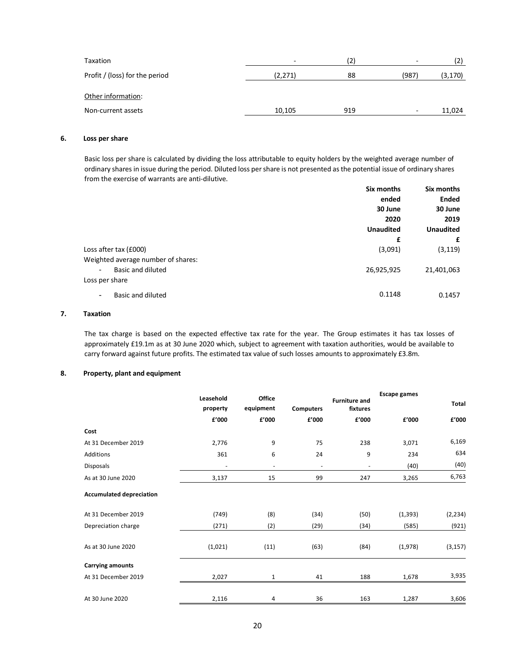| Taxation                       |         | (2) |                          | (2)      |
|--------------------------------|---------|-----|--------------------------|----------|
| Profit / (loss) for the period | (2,271) | 88  | (987)                    | (3, 170) |
| Other information:             |         |     |                          |          |
| Non-current assets             | 10,105  | 919 | $\overline{\phantom{0}}$ | 11,024   |

# **6. Loss per share**

Basic loss per share is calculated by dividing the loss attributable to equity holders by the weighted average number of ordinary shares in issue during the period. Diluted loss per share is not presented as the potential issue of ordinary shares from the exercise of warrants are anti-dilutive.

|                                     | Six months       | Six months               |
|-------------------------------------|------------------|--------------------------|
|                                     | ended            | <b>Ended</b>             |
|                                     | 30 June          | 30 June                  |
|                                     | 2020             | 2019<br><b>Unaudited</b> |
|                                     | <b>Unaudited</b> |                          |
|                                     | £                | £                        |
| Loss after tax (£000)               | (3,091)          | (3, 119)                 |
| Weighted average number of shares:  |                  |                          |
| Basic and diluted<br>$\blacksquare$ | 26,925,925       | 21,401,063               |
| Loss per share                      |                  |                          |
| Basic and diluted<br>۰              | 0.1148           | 0.1457                   |
|                                     |                  |                          |

#### **7. Taxation**

The tax charge is based on the expected effective tax rate for the year. The Group estimates it has tax losses of approximately £19.1m as at 30 June 2020 which, subject to agreement with taxation authorities, would be available to carry forward against future profits. The estimated tax value of such losses amounts to approximately £3.8m.

#### **8. Property, plant and equipment**

|                                 | Leasehold<br>property    | <b>Office</b><br>equipment | <b>Computers</b>         | <b>Furniture and</b><br>fixtures | <b>Escape games</b> | <b>Total</b> |
|---------------------------------|--------------------------|----------------------------|--------------------------|----------------------------------|---------------------|--------------|
|                                 | £'000                    | £'000                      | f'000                    | £'000                            | £'000               | £'000        |
| Cost                            |                          |                            |                          |                                  |                     |              |
| At 31 December 2019             | 2,776                    | 9                          | 75                       | 238                              | 3,071               | 6,169        |
| Additions                       | 361                      | 6                          | 24                       | 9                                | 234                 | 634          |
| Disposals                       | $\overline{\phantom{a}}$ | $\overline{\phantom{a}}$   | $\overline{\phantom{a}}$ | $\overline{\phantom{a}}$         | (40)                | (40)         |
| As at 30 June 2020              | 3,137                    | 15                         | 99                       | 247                              | 3,265               | 6,763        |
| <b>Accumulated depreciation</b> |                          |                            |                          |                                  |                     |              |
| At 31 December 2019             | (749)                    | (8)                        | (34)                     | (50)                             | (1, 393)            | (2, 234)     |
| Depreciation charge             | (271)                    | (2)                        | (29)                     | (34)                             | (585)               | (921)        |
| As at 30 June 2020              | (1,021)                  | (11)                       | (63)                     | (84)                             | (1,978)             | (3, 157)     |
| <b>Carrying amounts</b>         |                          |                            |                          |                                  |                     |              |
| At 31 December 2019             | 2,027                    | $\mathbf{1}$               | 41                       | 188                              | 1,678               | 3,935        |
| At 30 June 2020                 | 2,116                    | 4                          | 36                       | 163                              | 1,287               | 3,606        |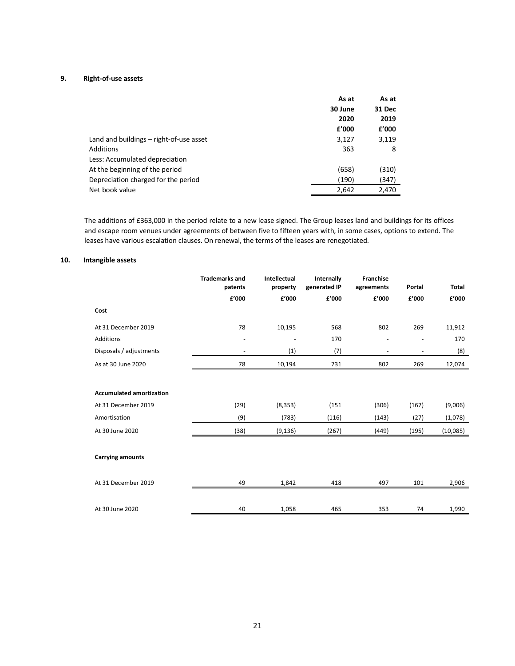# **9. Right-of-use assets**

|                                         | As at   | As at         |
|-----------------------------------------|---------|---------------|
|                                         | 30 June | <b>31 Dec</b> |
|                                         | 2020    | 2019          |
|                                         | f'000   | £'000         |
| Land and buildings – right-of-use asset | 3,127   | 3,119         |
| <b>Additions</b>                        | 363     | 8             |
| Less: Accumulated depreciation          |         |               |
| At the beginning of the period          | (658)   | (310)         |
| Depreciation charged for the period     | (190)   | (347)         |
| Net book value                          | 2,642   | 2,470         |

The additions of £363,000 in the period relate to a new lease signed. The Group leases land and buildings for its offices and escape room venues under agreements of between five to fifteen years with, in some cases, options to extend. The leases have various escalation clauses. On renewal, the terms of the leases are renegotiated.

#### **10. Intangible assets**

|                                 | <b>Trademarks and</b><br>patents | Intellectual<br>property | Internally<br>generated IP | <b>Franchise</b><br>agreements | Portal | Total    |
|---------------------------------|----------------------------------|--------------------------|----------------------------|--------------------------------|--------|----------|
|                                 | £'000                            | £'000                    | £'000                      | f'000                          | £'000  | £'000    |
| Cost                            |                                  |                          |                            |                                |        |          |
| At 31 December 2019             | 78                               | 10,195                   | 568                        | 802                            | 269    | 11,912   |
| Additions                       |                                  |                          | 170                        |                                |        | 170      |
| Disposals / adjustments         | $\overline{\phantom{a}}$         | (1)                      | (7)                        | $\overline{\phantom{a}}$       | ۰      | (8)      |
| As at 30 June 2020              | 78                               | 10,194                   | 731                        | 802                            | 269    | 12,074   |
| <b>Accumulated amortization</b> |                                  |                          |                            |                                |        |          |
| At 31 December 2019             | (29)                             | (8, 353)                 | (151)                      | (306)                          | (167)  | (9,006)  |
| Amortisation                    | (9)                              | (783)                    | (116)                      | (143)                          | (27)   | (1,078)  |
| At 30 June 2020                 | (38)                             | (9, 136)                 | (267)                      | (449)                          | (195)  | (10,085) |
| <b>Carrying amounts</b>         |                                  |                          |                            |                                |        |          |
| At 31 December 2019             | 49                               | 1,842                    | 418                        | 497                            | 101    | 2,906    |
| At 30 June 2020                 | 40                               | 1,058                    | 465                        | 353                            | 74     | 1,990    |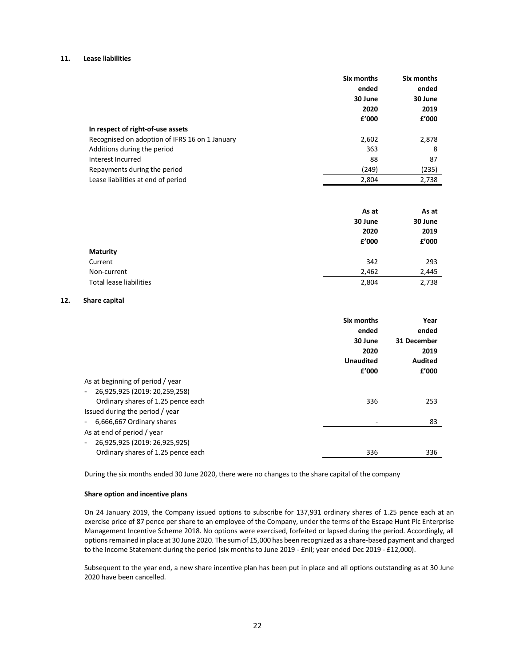#### **11. Lease liabilities**

|                                                | Six months | Six months |
|------------------------------------------------|------------|------------|
|                                                | ended      | ended      |
|                                                | 30 June    | 30 June    |
|                                                | 2020       | 2019       |
|                                                | f'000      | £'000      |
| In respect of right-of-use assets              |            |            |
| Recognised on adoption of IFRS 16 on 1 January | 2,602      | 2,878      |
| Additions during the period                    | 363        | 8          |
| Interest Incurred                              | 88         | 87         |
| Repayments during the period                   | (249)      | (235)      |
| Lease liabilities at end of period             | 2,804      | 2,738      |

|                                | As at   | As at   |
|--------------------------------|---------|---------|
|                                | 30 June | 30 June |
|                                | 2020    | 2019    |
|                                | f'000   | £'000   |
| <b>Maturity</b>                |         |         |
| Current                        | 342     | 293     |
| Non-current                    | 2,462   | 2,445   |
| <b>Total lease liabilities</b> | 2,804   | 2,738   |

#### **12. Share capital**

|                                    | Six months       | Year           |
|------------------------------------|------------------|----------------|
|                                    | ended            | ended          |
|                                    | 30 June          | 31 December    |
|                                    | 2020             | 2019           |
|                                    | <b>Unaudited</b> | <b>Audited</b> |
|                                    | f'000            | £'000          |
| As at beginning of period / year   |                  |                |
| 26,925,925 (2019: 20,259,258)      |                  |                |
| Ordinary shares of 1.25 pence each | 336              | 253            |
| Issued during the period / year    |                  |                |
| 6,666,667 Ordinary shares          |                  | 83             |
| As at end of period / year         |                  |                |
| 26,925,925 (2019: 26,925,925)      |                  |                |
| Ordinary shares of 1.25 pence each | 336              | 336            |
|                                    |                  |                |

During the six months ended 30 June 2020, there were no changes to the share capital of the company

#### **Share option and incentive plans**

On 24 January 2019, the Company issued options to subscribe for 137,931 ordinary shares of 1.25 pence each at an exercise price of 87 pence per share to an employee of the Company, under the terms of the Escape Hunt Plc Enterprise Management Incentive Scheme 2018. No options were exercised, forfeited or lapsed during the period. Accordingly, all options remained in place at 30 June 2020. The sum of £5,000 has been recognized as a share-based payment and charged to the Income Statement during the period (six months to June 2019 - £nil; year ended Dec 2019 - £12,000).

Subsequent to the year end, a new share incentive plan has been put in place and all options outstanding as at 30 June 2020 have been cancelled.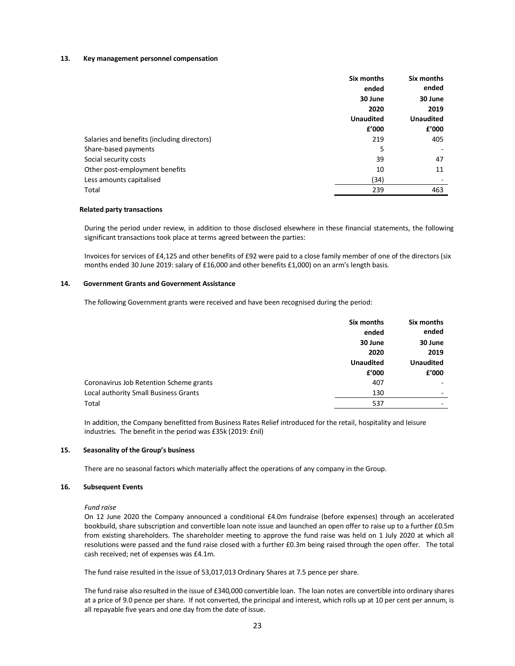#### **13. Key management personnel compensation**

|                                             | Six months       | Six months               |
|---------------------------------------------|------------------|--------------------------|
|                                             | ended            | ended                    |
|                                             | 30 June          | 30 June                  |
|                                             | 2020             | 2019<br><b>Unaudited</b> |
|                                             | <b>Unaudited</b> |                          |
|                                             | f'000            | f'000                    |
| Salaries and benefits (including directors) | 219              | 405                      |
| Share-based payments                        | 5                |                          |
| Social security costs                       | 39               | 47                       |
| Other post-employment benefits              | 10               | 11                       |
| Less amounts capitalised                    | (34)             |                          |
| Total                                       | 239              | 463                      |

#### **Related party transactions**

During the period under review, in addition to those disclosed elsewhere in these financial statements, the following significant transactions took place at terms agreed between the parties:

Invoices for services of £4,125 and other benefits of £92 were paid to a close family member of one of the directors (six months ended 30 June 2019: salary of £16,000 and other benefits £1,000) on an arm's length basis.

#### **14. Government Grants and Government Assistance**

The following Government grants were received and have been recognised during the period:

|                                         | Six months       | Six months               |
|-----------------------------------------|------------------|--------------------------|
|                                         | ended            | ended                    |
|                                         | 30 June          | 30 June                  |
|                                         | 2020             | 2019                     |
|                                         | <b>Unaudited</b> | <b>Unaudited</b>         |
|                                         | £'000            | f'000                    |
| Coronavirus Job Retention Scheme grants | 407              |                          |
| Local authority Small Business Grants   | 130              | $\overline{\phantom{0}}$ |
| Total                                   | 537              |                          |
|                                         |                  |                          |

In addition, the Company benefitted from Business Rates Relief introduced for the retail, hospitality and leisure industries. The benefit in the period was £35k (2019: £nil)

#### **15. Seasonality of the Group's business**

There are no seasonal factors which materially affect the operations of any company in the Group.

#### **16. Subsequent Events**

*Fund raise*

On 12 June 2020 the Company announced a conditional £4.0m fundraise (before expenses) through an accelerated bookbuild, share subscription and convertible loan note issue and launched an open offer to raise up to a further £0.5m from existing shareholders. The shareholder meeting to approve the fund raise was held on 1 July 2020 at which all resolutions were passed and the fund raise closed with a further £0.3m being raised through the open offer. The total cash received; net of expenses was £4.1m.

The fund raise resulted in the issue of 53,017,013 Ordinary Shares at 7.5 pence per share.

The fund raise also resulted in the issue of £340,000 convertible loan. The loan notes are convertible into ordinary shares at a price of 9.0 pence per share. If not converted, the principal and interest, which rolls up at 10 per cent per annum, is all repayable five years and one day from the date of issue.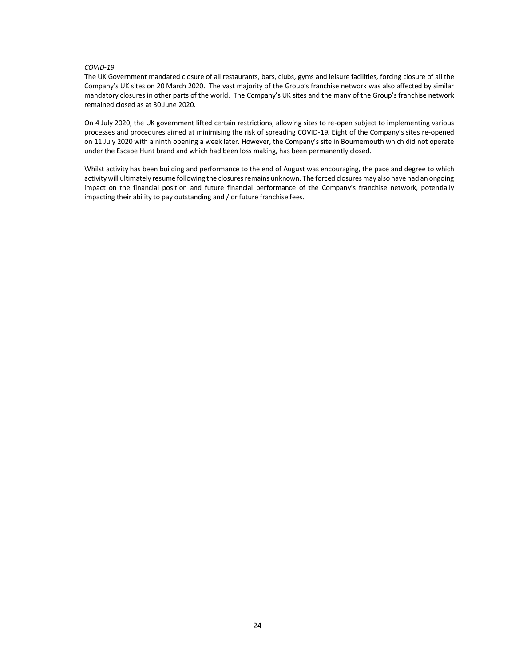#### *COVID-19*

The UK Government mandated closure of all restaurants, bars, clubs, gyms and leisure facilities, forcing closure of all the Company's UK sites on 20 March 2020. The vast majority of the Group's franchise network was also affected by similar mandatory closures in other parts of the world. The Company's UK sites and the many of the Group's franchise network remained closed as at 30 June 2020.

On 4 July 2020, the UK government lifted certain restrictions, allowing sites to re-open subject to implementing various processes and procedures aimed at minimising the risk of spreading COVID-19. Eight of the Company's sites re-opened on 11 July 2020 with a ninth opening a week later. However, the Company's site in Bournemouth which did not operate under the Escape Hunt brand and which had been loss making, has been permanently closed.

Whilst activity has been building and performance to the end of August was encouraging, the pace and degree to which activity will ultimately resume following the closures remains unknown. The forced closures may also have had an ongoing impact on the financial position and future financial performance of the Company's franchise network, potentially impacting their ability to pay outstanding and / or future franchise fees.